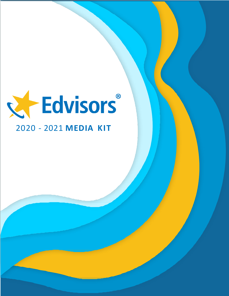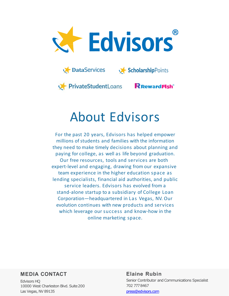



PrivateStudentLoans

# **R** Reward Fish<sup>®</sup>

# About Edvisors

For the past 20 years, Edvisors has helped empower millions of students and families with the information they need to make timely decisions about planning and paying for college, as well as life beyond graduation. Our free resources, tools and services are both expert-level and engaging, drawing from our expansive team experience in the higher education space as lending specialists, financial aid authorities, and public service leaders. Edvisors has evolved from a stand-alone startup to a subsidiary of College Loan Corporation—headquartered in Las Vegas, NV. Our evolution continues with new products and services which leverage our success and know-how in the online marketing space.

# **MEDIA CONTACT**

Edvisors HQ 10000 West Charleston Blvd. Suite200 Las Vegas, NV 89135

# **Elaine Rubin** Senior Contributor and Communications Specialist 702 7778467 [press@edvisors.com](mailto:press@edvisors.com)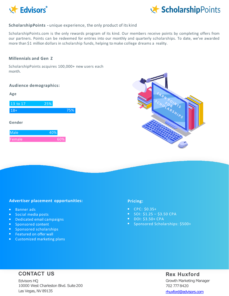



### **ScholarshipPoints -** unique experience, the only product of its kind

ScholarshipPoints.com is the only rewards program of its kind. Our members receive points by completing offers from our partners. Points can be redeemed for entries into our monthly and quarterly scholarships. To date, we've awarded more than \$1 million dollars in scholarship funds, helping to make college dreams a reality.

#### **Millennials and Gen Z**

ScholarshipPoints acquires 100,000+ new users each month.

#### **Audience demographics:**

| Age         |     |     |
|-------------|-----|-----|
| 13 to $17$  | 25% |     |
| $18 +$      |     | 75% |
| Gender      |     |     |
| <b>Male</b> | 40% |     |

Female 60%



# **Advertiser placement opportunities:**

- Banner ads
- Social media posts
- Dedicated email campaigns
- Sponsored content
- Sponsored scholarships
- Featured on offer wall
- Customized marketing plans

#### **Pricing:**

- CPC: \$0.35+
- $\bullet$  SOI: \$1.25 \$3.50 CPA
- DOI: \$3.50+ CPA
- Sponsored Scholarships: \$500+

# **CONTACT US**

Edvisors HQ 10000 West Charleston Blvd. Suite200 Las Vegas, NV 89135

# **Rex Huxford**

Growth Marketing Manager 702 7778420 [rhuxford@edvisors.com](mailto:rhuxford@edvisors.com)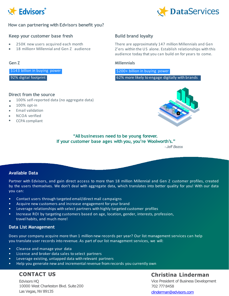



# **How can partnering with Edvisors benefit you?**

# **Keep your customer base fresh**

- 250K new users acquired each month
- 18 million+ Millennial and Gen Z audience

\$143 billion in buying power

92% digital footprint

#### **Direct from the source**

- 100% self-reported data (no aggregate data)
- 100% opt-in  $\bullet$
- Email validation
- NCOA verified
- CCPA compliant

# **Build brand loyalty**

There are approximately 147 million Millennials and Gen Z'ers within the US alone. Establish relationships with this audience today that you can build on for years to come.

#### **Gen Z Millennials**

\$200+ billion in buying power

62% more likely to engage digitally with brands



# **"All businesses need to be young forever. If your customer base ages with you, you're Woolworth's."**

*- Jeff Bezos*

# **Available Data**

Partner with Edvisors, and gain direct access to more than 18 million Millennial and Gen Z customer profiles, created by the users themselves. We don't deal with aggregate data, which translates into better quality for you! With our data you can:

- Contact users through targeted email/direct mail campaigns
- Acquire new customers and increase engagement for your brand
- Leverage relationships with select partners with highly targeted customer profiles
- Increase ROI by targeting customers based on age, location, gender, interests, profession, travel habits, and much more!

# **Data List Management**

Does your company acquire more than 1 million new records per year? Our list management services can help you translate user records into revenue. As part of our list management services, we will:

- Cleanse and manage your data
- License and broker data sales to select partners
- Leverage existing, untapped data with relevant partners
- Help you generate new and incremental revenue from records you currently own

# **CONTACT US**

Edvisors HQ 10000 West Charleston Blvd. Suite200 Las Vegas, NV 89135

# **Christina Linderman**

Vice President of Business Development 702 7778458

[clinderman@edvisors.com](mailto:clinderman@edvisors.com)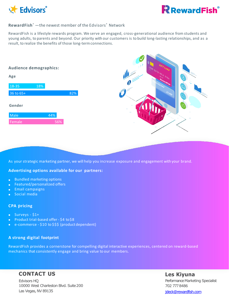

# **RewardFish**® —the newest member of the Edvisors® Network

RewardFish is a lifestyle rewards program. We serve an engaged, cross-generational audience from students and young adults, to parents and beyond. Our priority with our customers is to build long-lasting relationships, and as a result, to realize the benefits of those long-termconnections.

# Male 44% Female 2008 18-35 18% 36 to 65+ 82% **Audience demographics: Age Gender**

As your strategic marketing partner, we will help you increase exposure and engagement with your brand.

# **Advertising options available for our partners:**

- Bundled marketing options  $\bullet$
- Featured/personalized offers
- Email campaigns  $\bullet$
- Social media

# **CPA pricing**

- Surveys \$1+
- Product trial-based offer \$4 to \$8
- e-commerce \$10 to \$\$\$ (product dependent)

# **A strong digital footprint**

RewardFish provides a cornerstone for compelling digital interactive experiences, centered on reward-based mechanics that consistently engage and bring value to our members.

# **CONTACT US**

Edvisors HQ 10000 West Charleston Blvd. Suite200 Las Vegas, NV 89135

# **Les Kiyuna** Performance Marketing Specialist 702 7778486 [jdeck@rewardfish.com](mailto:jdeck@rewardfish.com)